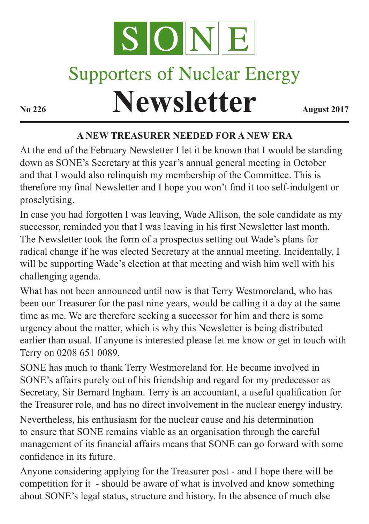

# **Supporters of Nuclear Energy**

**Newsletter August 2017** 

### **A NEW TREASURER NEEDED FOR A NEW ERA**

At the end of the February Newsletter I let it be known that I would be standing down as SONE's Secretary at this year's annual general meeting in October and that I would also relinquish my membership of the Committee. This is therefore my final Newsletter and I hope you won't find it too self-indulgent or proselytising.

In case you had forgotten I was leaving, Wade Allison, the sole candidate as my successor, reminded you that I was leaving in his first Newsletter last month. The Newsletter took the form of a prospectus setting out Wade's plans for radical change if he was elected Secretary at the annual meeting. Incidentally, I will be supporting Wade's election at that meeting and wish him well with his challenging agenda.

What has not been announced until now is that Terry Westmoreland, who has been our Treasurer for the past nine years, would be calling it a day at the same time as me. We are therefore seeking a successor for him and there is some urgency about the matter, which is why this Newsletter is being distributed earlier than usual. If anyone is interested please let me know or get in touch with Terry on 0208 651 0089.

SONE has much to thank Terry Westmoreland for. He became involved in SONE's affairs purely out of his friendship and regard for my predecessor as Secretary, Sir Bernard Ingham. Terry is an accountant, a useful qualification for the Treasurer role, and has no direct involvement in the nuclear energy industry.

Nevertheless, his enthusiasm for the nuclear cause and his determination to ensure that SONE remains viable as an organisation through the careful management of its financial affairs means that SONE can go forward with some confidence in its future.

Anyone considering applying for the Treasurer post - and I hope there will be competition for it - should be aware of what is involved and know something about SONE's legal status, structure and history. In the absence of much else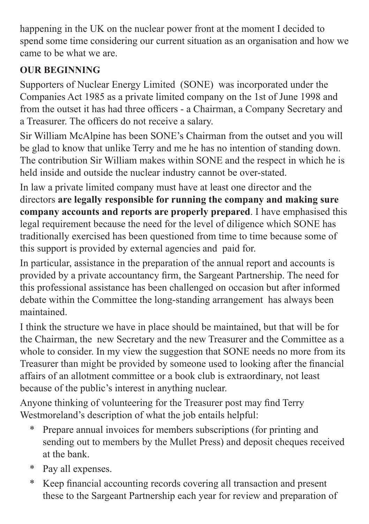happening in the UK on the nuclear power front at the moment I decided to spend some time considering our current situation as an organisation and how we came to be what we are.

## **OUR BEGINNING**

Supporters of Nuclear Energy Limited (SONE) was incorporated under the Companies Act 1985 as a private limited company on the 1st of June 1998 and from the outset it has had three officers - a Chairman, a Company Secretary and a Treasurer. The officers do not receive a salary.

Sir William McAlpine has been SONE's Chairman from the outset and you will be glad to know that unlike Terry and me he has no intention of standing down. The contribution Sir William makes within SONE and the respect in which he is held inside and outside the nuclear industry cannot be over-stated.

In law a private limited company must have at least one director and the directors **are legally responsible for running the company and making sure company accounts and reports are properly prepared**. I have emphasised this legal requirement because the need for the level of diligence which SONE has traditionally exercised has been questioned from time to time because some of this support is provided by external agencies and paid for.

In particular, assistance in the preparation of the annual report and accounts is provided by a private accountancy firm, the Sargeant Partnership. The need for this professional assistance has been challenged on occasion but after informed debate within the Committee the long-standing arrangement has always been maintained.

I think the structure we have in place should be maintained, but that will be for the Chairman, the new Secretary and the new Treasurer and the Committee as a whole to consider. In my view the suggestion that SONE needs no more from its Treasurer than might be provided by someone used to looking after the financial affairs of an allotment committee or a book club is extraordinary, not least because of the public's interest in anything nuclear.

Anyone thinking of volunteering for the Treasurer post may find Terry Westmoreland's description of what the job entails helpful:

- \* Prepare annual invoices for members subscriptions (for printing and sending out to members by the Mullet Press) and deposit cheques received at the bank.
- \* Pay all expenses.
- \* Keep financial accounting records covering all transaction and present these to the Sargeant Partnership each year for review and preparation of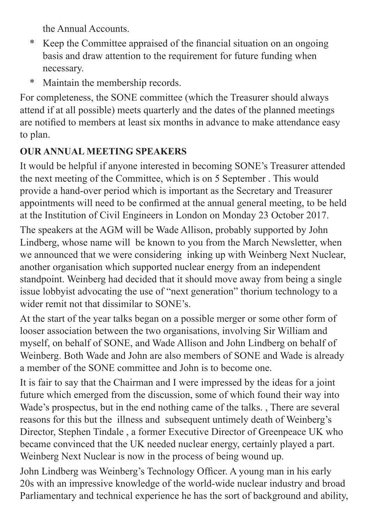the Annual Accounts.

- \* Keep the Committee appraised of the financial situation on an ongoing basis and draw attention to the requirement for future funding when necessary.
- \* Maintain the membership records.

For completeness, the SONE committee (which the Treasurer should always attend if at all possible) meets quarterly and the dates of the planned meetings are notified to members at least six months in advance to make attendance easy to plan.

#### **OUR ANNUAL MEETING SPEAKERS**

It would be helpful if anyone interested in becoming SONE's Treasurer attended the next meeting of the Committee, which is on 5 September . This would provide a hand-over period which is important as the Secretary and Treasurer appointments will need to be confirmed at the annual general meeting, to be held at the Institution of Civil Engineers in London on Monday 23 October 2017.

The speakers at the AGM will be Wade Allison, probably supported by John Lindberg, whose name will be known to you from the March Newsletter, when we announced that we were considering inking up with Weinberg Next Nuclear, another organisation which supported nuclear energy from an independent standpoint. Weinberg had decided that it should move away from being a single issue lobbyist advocating the use of "next generation" thorium technology to a wider remit not that dissimilar to SONE's.

At the start of the year talks began on a possible merger or some other form of looser association between the two organisations, involving Sir William and myself, on behalf of SONE, and Wade Allison and John Lindberg on behalf of Weinberg. Both Wade and John are also members of SONE and Wade is already a member of the SONE committee and John is to become one.

It is fair to say that the Chairman and I were impressed by the ideas for a joint future which emerged from the discussion, some of which found their way into Wade's prospectus, but in the end nothing came of the talks. , There are several reasons for this but the illness and subsequent untimely death of Weinberg's Director, Stephen Tindale , a former Executive Director of Greenpeace UK who became convinced that the UK needed nuclear energy, certainly played a part. Weinberg Next Nuclear is now in the process of being wound up.

John Lindberg was Weinberg's Technology Officer. A young man in his early 20s with an impressive knowledge of the world-wide nuclear industry and broad Parliamentary and technical experience he has the sort of background and ability,